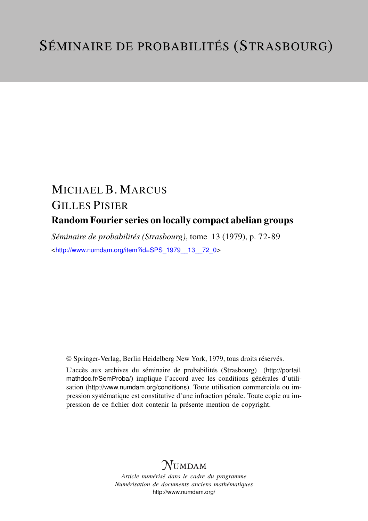## MICHAEL B. MARCUS GILLES PISIER Random Fourier series on locally compact abelian groups

*Séminaire de probabilités (Strasbourg)*, tome 13 (1979), p. 72-89 <[http://www.numdam.org/item?id=SPS\\_1979\\_\\_13\\_\\_72\\_0](http://www.numdam.org/item?id=SPS_1979__13__72_0)>

© Springer-Verlag, Berlin Heidelberg New York, 1979, tous droits réservés.

L'accès aux archives du séminaire de probabilités (Strasbourg) ([http://portail.](http://portail.mathdoc.fr/SemProba/) [mathdoc.fr/SemProba/](http://portail.mathdoc.fr/SemProba/)) implique l'accord avec les conditions générales d'utilisation (<http://www.numdam.org/conditions>). Toute utilisation commerciale ou impression systématique est constitutive d'une infraction pénale. Toute copie ou impression de ce fichier doit contenir la présente mention de copyright.

## **NUMDAM**

*Article numérisé dans le cadre du programme Numérisation de documents anciens mathématiques* <http://www.numdam.org/>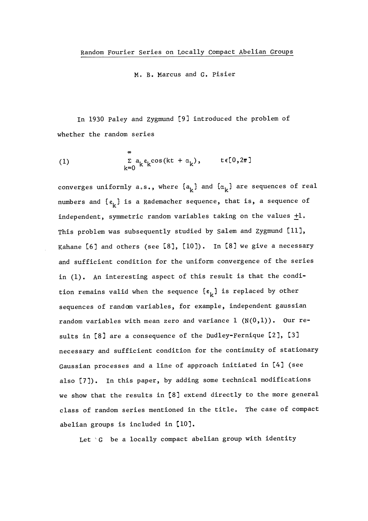Mo B. Marcus and G. Pisier

In 1930 Paley and Zygmund [9] introduced the problem of whether the random series

(1) 
$$
\sum_{k=0}^{\infty} a_k \epsilon_k \cos(kt + \alpha_k), \qquad t \in [0, 2\pi]
$$

converges uniformly a.s., where  $\{a_k\}$  and  $\{\alpha_k\}$  are sequences of real numbers and  $\{\varepsilon_{\mu}\}\$  is a Rademacher sequence, that is, a sequence of independent, symmetric random variables taking on the values  $\pm 1$ . This problem was subsequently studied by Salem and Zygmund [11], Kahane [6] and others (see [8], [10]). In [8] we give a necessary and sufficient condition for the uniform convergence of the series in (1). An interesting aspect of this result is that the condition remains valid when the sequence  $\{\epsilon_{k}\}\$  is replaced by other sequences of random variables, for example, independent gaussian random variables with mean zero and variance  $1 (N(0,1))$ . Our results in [8] are a consequence of the Dudley-Fernique [2], [3] necessary and sufficient condition for the continuity of stationary Gaussian processes and a line of approach initiated in [4] (see also [7]). In this paper, by adding some technical modifications we show that the results in [8] extend directly to the more general class of random series mentioned in the title. The case of compact abelian groups is included in [10].

Let  $G$  be a locally compact abelian group with identity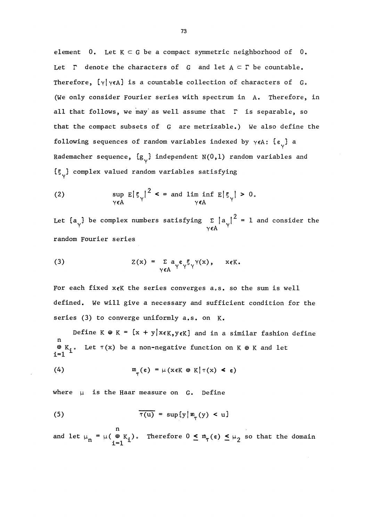element  $0$ . Let  $K \subset G$  be a compact symmetric neighborhood of  $0$ . Let  $\Gamma$  denote the characters of G and let  $A \subset \Gamma$  be countable. Therefore,  $\{\gamma | \gamma \in A\}$  is a countable collection of characters of G. (We only consider Fourier series with spectrum in A. Therefore, in all that follows, we may as well assume that  $\Gamma$  is separable, so that the compact subsets of G are metrizable.) We also define the following sequences of random variables indexed by  $\gamma \in A$ :  $\{\varepsilon_{\nu}\}\$ a Rademacher sequence,  $\{g_{\nu}\}\$  independent N(0,1) random variables and  ${5,}$  complex valued random variables satisfying

(2) 
$$
\sup_{\gamma \in A} E |\xi_{\gamma}|^2 < \infty \text{ and } \lim_{\gamma \in A} \inf E |\xi_{\gamma}| > 0.
$$

Let  $\{a_{\gamma}\}$  be complex numbers satisfying  $\sum_{\gamma \in A} |a_{\gamma}|^2 = 1$  and consider the random Fourier series

(3) 
$$
Z(x) = \sum_{\gamma \in A} a_{\gamma} \epsilon_{\gamma} \xi_{\gamma} \gamma(x), \quad x \in K.
$$

For each fixed  $x \in K$  the series converges a.s. so the sum is well defined, We will give a necessary and sufficient condition for the series (3) to converge uniformly a.s. on K.

Define K  $\oplus$  K = {x + y|x $\epsilon$ K, y $\epsilon$ K} and in a similar fashion define  $\mathfrak{B}$  K<sub>i</sub>. Let  $\tau(x)$  be a non-negative function on K  $\mathfrak{B}$  K and let i=1

(4) 
$$
m_{\pi}(\varepsilon) = \mu(x \in K \oplus K | \tau(x) < \varepsilon)
$$

where  $\mu$  is the Haar measure on G. Define

(5) 
$$
\overline{\tau(u)} = \sup\{y \mid m_{\tau}(y) < u\}
$$

and let  $\mu_n = \mu(\begin{array}{cc} n \\ \#n \end{array})$ . Therefore  $0 \leq m_{\tau}(\varepsilon) \leq \mu_2$  so that the domain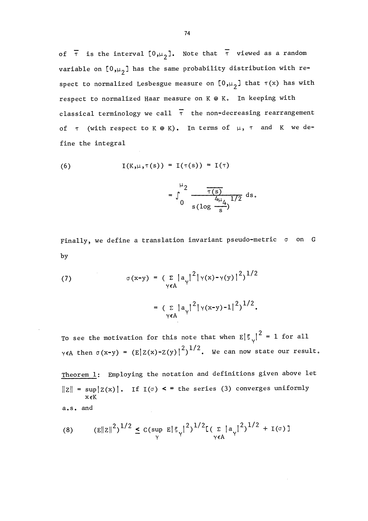of  $\overline{\tau}$  is the interval  $[0,\mu_2]$ . Note that  $\overline{\tau}$  viewed as a random variable on  $[0,\mu_2]$  has the same probability distribution with respect to normalized Lesbesgue measure on  $[0,\mu_{2}]$  that  $\tau(x)$  has with respect to normalized Haar measure on  $K \oplus K$ . In keeping with classical terminology we call  $\bar{\tau}$  the non-decreasing rearrangement of  $\tau$  (with respect to K  $\oplus$  K). In terms of  $\mu$ ,  $\tau$  and K we define the integral

(6) 
$$
I(K,\mu,\tau(s)) = I(\tau(s)) = I(\tau)
$$

$$
= \int_0^{\mu_2} \frac{\overline{\tau(s)}}{s(\log \frac{4\mu_4}{s})^{1/2}} ds.
$$

Finally, we define a translation invariant pseudo-metric  $\sigma$  on G by

(7) 
$$
\sigma(x-y) = \left(\sum_{\gamma \in A} |a_{\gamma}|^2 |\gamma(x) - \gamma(y)|^2\right)^{1/2}
$$

$$
= \left(\sum_{\gamma \in A} |a_{\gamma}|^2 |\gamma(x-y) - 1|^2\right)^{1/2}.
$$

To see the motivation for this note that when  $E |\xi_{\gamma}|^2 = 1$  for all  $\gamma \in A$  then  $\sigma(x-y) = (E|Z(x)-Z(y)|^2)^{1/2}$ . We can now state our result.

Theorem 1: Employing the notation and definitions given above let  $||z|| = \sup |Z(x)|$ . If I( $\sigma$ ) <  $\infty$  the series (3) converges uniformly x EK a. s. and

(8) 
$$
(E||z||^2)^{1/2} \leq C(\sup_{\gamma} E|\xi_{\gamma}|^2)^{1/2} [(\sum_{\gamma \in A} |a_{\gamma}|^2)^{1/2} + I(\sigma)]
$$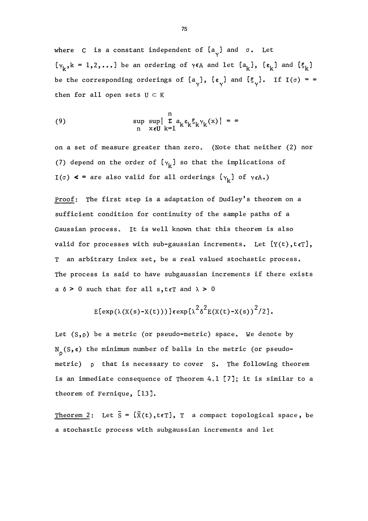where C is a constant independent of  $\{a_{v}\}\$  and  $\sigma$ . Let  ${\gamma_k, k = 1, 2, ...}$  be an ordering of  $\gamma \in A$  and let  ${a_k}, {c_k}$  and  ${s_k}$ be the corresponding orderings of  $\{a_{\gamma}\}\text{, } \{e_{\gamma}\}\text{ and } \{5_{\gamma}\}\text{. If } I(\sigma) = \infty$ then for all open sets  $U \subset K$ 

(9) 
$$
\sup_{n} \sup_{x \in U} \left| \sum_{k=1}^{n} a_{k} \varepsilon_{k} \zeta_{k} \gamma_{k}(x) \right| = \infty
$$

on a set of measure greater than zero. (Note that neither (2) nor (7) depend on the order of  $\{Y_k\}$  so that the implications of I( $\sigma$ ) <  $\in$  are also valid for all orderings  $\{\gamma_k\}$  of  $\gamma_{\epsilon A}$ .)

proof: The first step is a adaptation of Dudley's theorem on a sufficient condition for continuity of the sample paths of a Gaussian process. It is well known that this theorem is also valid for processes with sub-gaussian increments. Let  ${Y(t), t(\tau)}$ , T an arbitrary index set, be a real valued stochastic process. The process is said to have subgaussian increments if there exists a  $\delta$  > 0 such that for all s, teT and  $\lambda$  > 0

$$
E\{\exp(\lambda(X(s)-X(t)))\}\exp\{\lambda^{2}\delta^{2}E(X(t)-X(s))^{2}/2\}.
$$

Let  $(S,\rho)$  be a metric (or pseudo-metric) space. We denote by  $N_{\rho}(S,\varepsilon)$  the minimum number of balls in the metric (or pseudometric)  $\rho$  that is necessary to cover S. The following theorem is an immediate consequence of Theorem  $4.1$  [7]; it is similar to a theorem of Fernique, [13].

Theorem 2: Let  $\tilde{S} = {\tilde{X}(t), t \in T}, T$  a compact topological space, be a stochastic process with subgaussian increments and let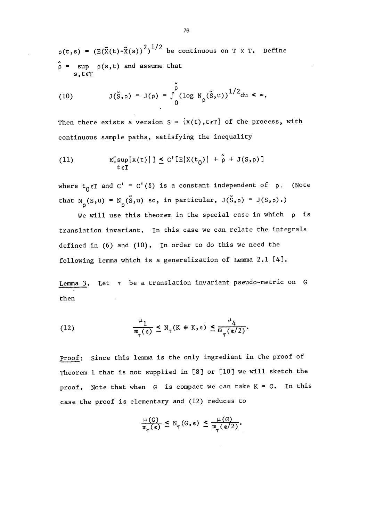$p(t,s) = (E(\tilde{X}(t)-\tilde{X}(s))^2)^{1/2}$  be continuous on T x T. Define  $\hat{\rho}$  = sup  $\rho(s,t)$  and assume that

(10) 
$$
J(\tilde{S}, \rho) = J(\rho) = \int_{0}^{\rho} (\log N_{\rho}(\tilde{S}, u))^{1/2} du < \infty.
$$

Then there exists a version  $S = \{X(t), t \in T\}$  of the process, with continuous sample paths, satisfying the inequality

(11) 
$$
E[ \sup_{t \in T} |X(t)| ] \leq C' [E|X(t_0)| + \hat{\rho} + J(S, \rho)]
$$

where  $t_0 \in T$  and  $C' = C'(\delta)$  is a constant independent of p. (Note that N<sub>p</sub>(S,u) = N<sub>p</sub>(S,u) so, in particular, J(S,p) = J(S,p).)

We will use this theorem in the special case in which  $\rho$  is translation invariant. In this case we can relate the integrals defined in (6) and (10). In order to do this we need the following lemma which is a generalization of Lemma 2.1 [4].

Lemma 3. Let  $\tau$  be a translation invariant pseudo-metric on G then

(12) 
$$
\frac{\mu_1}{m_\tau(\epsilon)} \leq N_\tau(K \oplus K, \epsilon) \leq \frac{\mu_4}{m_\tau(\epsilon/2)}.
$$

proof: Since this lemma is the only ingrediant in the proof of Theorem 1 that is not supplied in [8] or [10] we will sketch the proof. Note that when  $G$  is compact we can take  $K = G$ . In this case the proof is elementary and (12) reduces to

$$
\frac{\mu(G)}{\mathfrak{m}_{\pi}(\varepsilon)} \leq N_{\pi}(G, \varepsilon) \leq \frac{\mu(G)}{\mathfrak{m}_{\pi}(\varepsilon/2)}.
$$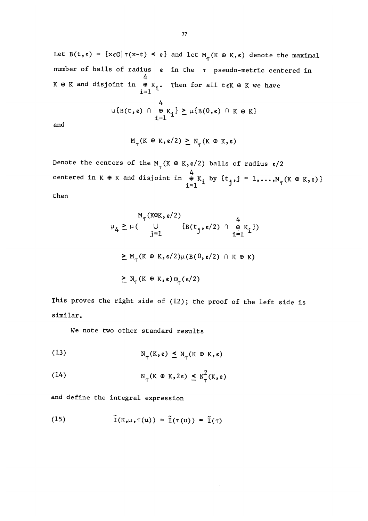Let  $B(t,\epsilon) = \{x_{\epsilon}G | \tau(x-t) \leq \epsilon\}$  and let  $M_{\tau}(K \oplus K, \epsilon)$  denote the maximal number of balls of radius e in the  $\tau$  pseudo-metric centered in 4 K  $\oplus$  K and disjoint in  $\oplus$  K.. Then for all t $\epsilon$ K  $\oplus$  K we have 4  $\begin{aligned} \n\cap \quad &\oplus \quad K_{\mathbf{i}} \} \geq \mu \{ \mathbf{B}(0, \epsilon) \cap K \oplus K \} \\ \n\mathbf{i} = 1 \n\end{aligned}$ 

and

$$
M_{\tau}(K \oplus K, \varepsilon/2) \geq N_{\tau}(K \oplus K, \varepsilon)
$$

Denote the centers of the  $M_{\tau}$ (K  $\oplus$  K, e/2) balls of radius e/2 centered in K  $\oplus$  K and disjoint in  $\oplus$  K<sub>i</sub> by {t<sub>j</sub>,j = 1,...,M<sub>T</sub>(K  $\oplus$  K,e)] then

$$
M_{\tau}(K\oplus K, \varepsilon/2) \qquad 4
$$
  
\n
$$
\mu_{4} \ge \mu \left( \bigcup_{j=1}^{J} \{B(t_{j}, \varepsilon/2) \cap \bigoplus_{i=1}^{K} K_{i}\}\right)
$$
  
\n
$$
\ge M_{\tau}(K \oplus K, \varepsilon/2) \mu(B(0, \varepsilon/2) \cap K \oplus K)
$$
  
\n
$$
\ge N_{\tau}(K \oplus K, \varepsilon) m_{\tau}(\varepsilon/2)
$$

This proves the right side of  $(12)$ ; the proof of the left side is similar.

 $\Delta$ 

We note two other standard results

(13) 
$$
N_{\tau}(K, \varepsilon) \leq N_{\tau}(K \oplus K, \varepsilon)
$$

(14) 
$$
N_{\tau}(K \oplus K, 2\varepsilon) \leq N_{\tau}^{2}(K, \varepsilon)
$$

and define the integral expression

(15) 
$$
\tilde{\mathbf{I}}(K,\mu,\tau(u)) = \tilde{\mathbf{I}}(\tau(u)) = \tilde{\mathbf{I}}(\tau)
$$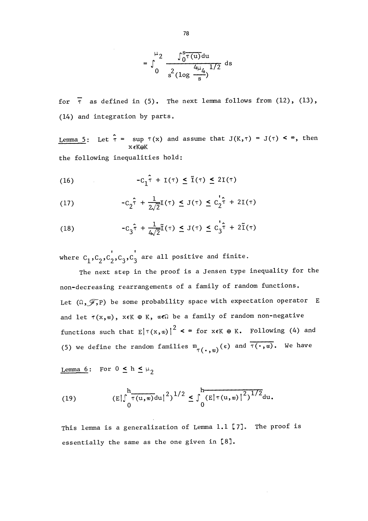$$
= \int_{0}^{\mu_2} \frac{\int_{0}^{s} \tau(u) du}{s^2 (\log \frac{4\mu_4}{s})^{1/2}} ds
$$

for  $\overline{\tau}$  as defined in (5). The next lemma follows from (12), (13),  $(14)$  and integration by parts.

Lemma 5: Let  $\mathbf{\hat{r}} = \sup_{\mathbf{x}} \mathbf{f}(\mathbf{x})$  and assume that  $\mathbf{J}(\mathbf{K},\mathbf{\hat{r}}) = \mathbf{J}(\mathbf{\hat{r}}) < \infty$ , then x€K⊕K the following inequalities hold:

(16) 
$$
-C_1 \hat{\tau} + I(\tau) \leq \tilde{I}(\tau) \leq 2I(\tau)
$$

(16) 
$$
-C_{1} \tau + I(\tau) \leq I(\tau) \leq 2I(\tau)
$$

$$
-C_{2} \hat{\tau} + \frac{1}{2\sqrt{2}} I(\tau) \leq J(\tau) \leq C_{2} \hat{\tau} + 2I(\tau)
$$

(17) 
$$
-C_{2} \tau + \frac{1}{2\sqrt{2}} \mathbf{I}(\tau) \leq J(\tau) \leq C_{2} \tau + 2\mathbf{I}(\tau)
$$
  
(18) 
$$
-C_{3} \hat{\tau} + \frac{1}{4\sqrt{2}} \tilde{\mathbf{I}}(\tau) \leq J(\tau) \leq C_{3} \hat{\tau} + 2\tilde{\mathbf{I}}(\tau)
$$

where  $\texttt{c}_{1}^{},\texttt{c}_{2}^{},\texttt{c}_{2}^{},\texttt{c}_{3}^{},\texttt{c}_{3}^{'}$  are all positive and finite.

The next step in the proof is a Jensen type inequality for the non-decreasing rearrangements of a family of random functions. Let  $(\Omega, \widetilde{\mathscr{F}}, P)$  be some probability space with expectation operator E and let  $\tau(x,w)$ ,  $x \in K$   $\oplus K$ ,  $w \in \Omega$  be a family of random non-negative functions such that  $E|T(x,w)|^2 < \infty$  for  $x \in K$   $\oplus$  K. Following (4) and (5) we define the random families  $_{\tau(\,\boldsymbol{\cdot}\,,\,\boldsymbol{\mathsf{w}})}(\,\boldsymbol{\mathsf{\varepsilon}})$  and  $_{\tau(\,\boldsymbol{\cdot}\,,\,\boldsymbol{\mathsf{w}})}$ . We have at  $E|\tau(x, \omega)|^2 < \infty$  for  $x \in K \oplus K$ . Fo<br>random families  $m_{\tau(\cdot, \omega)}(\varepsilon)$  and  $\overline{\tau(\varepsilon)}$ <br> $h \leq \mu_2$ <br> $\frac{h}{\tau(u, \omega) du}|^2)^{1/2} \leq \int_0^h \frac{E|\tau(u, \omega)|^2}{(E|\tau(u, \omega)|^2)^{1/2}}$ <br>eneralization of Lemma 1.1 [7]. T

Lemma 6: For  $0 \leq h \leq \mu_2$ 

(19) 
$$
(E|\int_{0}^{h} \overline{\tau(u,w)} du|^{2})^{1/2} \leq \int_{0}^{h} (E|\tau(u,w)|^{2})^{1/2} du.
$$

This lemma is a generalization of Lemma  $1.1$  [7]. The proof is essentially the same as the one given in [8].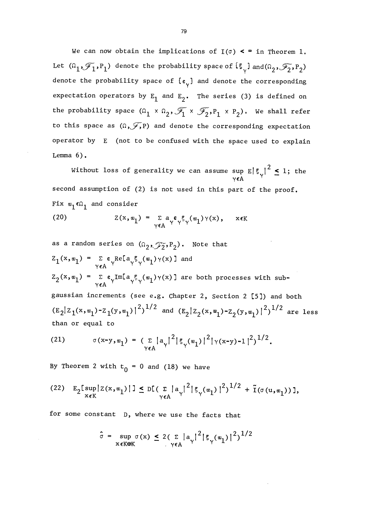We can now obtain the implications of  $I(\sigma) < \infty$  in Theorem 1. Let  $(\Omega_1, \mathcal{F}_1, P_1)$  denote the probability space of  $\{\xi_{\gamma}\}$  and  $(\Omega_2, \mathcal{F}_2, P_2)$ denote the probability space of  $\{\varepsilon_{\gamma}\}\$  and denote the corresponding expectation operators by  $E_1$  and  $E_2$ . The series (3) is defined on the probability space  $(\Omega_1 \times \Omega_2, \mathscr{T}_1 \times \mathscr{T}_2, P_1 \times P_2)$ . We shall refer to this space as  $(\Omega, \widetilde{\mathscr{J}}, P)$  and denote the corresponding expectation operator by E (not to be confused with the space used to explain Lemma  $6$ ).

Without loss of generality we can assume sup  $E|\xi_{\gamma}|^2 \leq 1$ ; the  $\gamma \epsilon A$ second assumption of (2) is not used in this part of the proof. Fix  $\mathbf{w}_1 \in \Omega_1$  and consider

(20) 
$$
Z(x, w_1) = \sum_{\gamma \in A} a_{\gamma} \varepsilon_{\gamma} \xi_{\gamma}(w_1) \gamma(x), \quad x \in K
$$

as a random series on 
$$
(\Omega_2, \mathcal{F}_2, P_2)
$$
. Note that  
\n
$$
Z_1(x, w_1) = \sum_{\gamma \in A} \mathfrak{e} \underset{\gamma}{Re[a_{\gamma} \xi_{\gamma}(w_1) \gamma(x)]}
$$
 and  
\n
$$
Z_2(x, w_1) = \sum_{\gamma \in A} \mathfrak{e} \underset{\gamma}{Im[a_{\gamma} \xi_{\gamma}(w_1) \gamma(x)]}
$$
 are both processes with sub-  
\ngaussian increments (see e.g. Chapter 2, Section 2 [5]) and both  
\n $(E_2|Z_1(x, w_1) - Z_1(y, w_1)|^2)^{1/2}$  and  $(E_2|Z_2(x, w_1) - Z_2(y, w_1)|^2)^{1/2}$  are less  
\nthan or equal to

(21) 
$$
\sigma(x-y,w_1) = (\sum_{\gamma \in A} |a_{\gamma}|^2 |\xi_{\gamma}(w_1)|^2 |\gamma(x-y)-1|^2)^{1/2}.
$$

By Theorem 2 with  $t_0 = 0$  and (18) we have

(22) 
$$
E_2[ \sup_{x \in K} |Z(x, w_1)| ] \le D[ (\sum_{\gamma \in A} |a_{\gamma}|^2 | \xi_{\gamma}(w_1) |^2)^{1/2} + \tilde{I}(\sigma(u, w_1)) ]
$$

for some constant D, where we use the facts that

$$
\hat{\sigma} = \sup_{x \in K \oplus K} \sigma(x) \le 2(\sum |a_{\gamma}|^2 | \xi_{\gamma}(\omega_1) |^2)^{1/2}
$$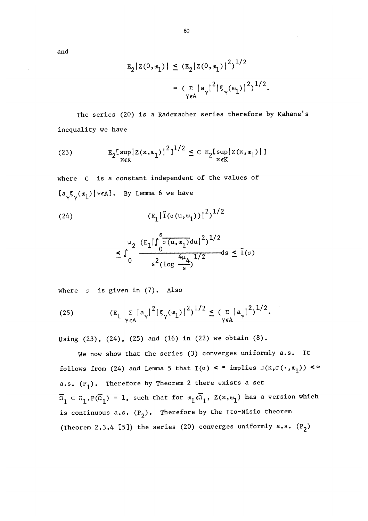and

$$
E_2|Z(0, w_1)| \le (E_2|Z(0, w_1)|^2)^{1/2}
$$
  
=  $(\sum_{\gamma \in A} |a_{\gamma}|^2 |\xi_{\gamma}(w_1)|^2)^{1/2}$ .

The series (20) is a Rademacher series therefore by Kahane's inequality we have

(23) 
$$
E_2 \left[ \sup_{x \in K} |Z(x, w_1)|^2 \right]^{1/2} \leq C E_2 \left[ \sup_{x \in K} |Z(x, w_1)| \right]
$$

where C is a constant independent of the values of  $\{a_{\sqrt{5}\sqrt{(w_1)}}\}\$   $\vee\in A\}$ . By Lemma 6 we have

(24) 
$$
(E_1 | \tilde{I}(\sigma(u, w_1))|^2)^{1/2}
$$

$$
\leq \int_0^{\mu_2} \frac{(\mathbf{E}_1|\int_0^s \overline{\sigma(\mathbf{u}, \mathbf{w}_1)} \mathrm{d}\mathbf{u}|^2)^{1/2}}{\mathbf{s}^2 (\log \frac{4\mu_4}{s})^{1/2}} \mathrm{d}\mathbf{s} \leq \tilde{\mathbf{I}}(\sigma)
$$

where  $\sigma$  is given in  $(7)$ . Also

(25) 
$$
(E_1 \sum_{\gamma \in A} |a_{\gamma}|^2 | \xi_{\gamma}(\omega_1)|^2)^{1/2} \leq (\sum_{\gamma \in A} |a_{\gamma}|^2)^{1/2}.
$$

Using  $(23)$ ,  $(24)$ ,  $(25)$  and  $(16)$  in  $(22)$  we obtain  $(8)$ .

We now show that the series (3) converges uniformly a.s. It follows from (24) and Lemma 5 that  $I(\sigma)$  <  $\infty$  implies  $J(K,\sigma(\cdot,\omega_1))$  <  $\infty$ a.s.  $(P_1)$ . Therefore by Theorem 2 there exists a set  $\overline{\Omega}_1 \subset \Omega_1, P(\overline{\Omega}_1) = 1$ , such that for  $\mathfrak{w}_1 \epsilon \overline{\Omega}_1$ ,  $Z(x, \mathfrak{w}_1)$  has a version which is continuous a.s.  $(P_2)$ . Therefore by the Ito-Nisio theorem (Theorem 2.3.4 [5]) the series (20) converges uniformly a.s.  $(P_2)$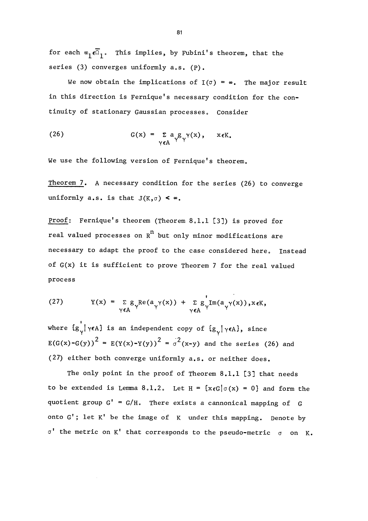for each  $\mathbf{w}_1 \epsilon \overline{\Omega}_1$ . This implies, by Fubini's theorem, that the series  $(3)$  converges uniformly  $a.s.$   $(P)$ .

We now obtain the implications of  $I(\sigma) = \infty$ . The major result in this direction is Fernique's necessary condition for the continuity of stationary Gaussian processes. Consider

(26) 
$$
G(x) = \sum_{\gamma \in A} a_{\gamma} g_{\gamma}(\gamma(x), \quad x \in K.
$$

We use the following version of Fernique's theorem.

Theorem 7. A necessary condition for the series (26) to converge uniformly a.s. is that  $J(K,\sigma) < \infty$ .

Proof: Fernique's theorem (Theorem  $8.1.1$  [3]) is proved for real valued processes on  $R<sup>n</sup>$  but only minor modifications are necessary to adapt the proof to the case considered here. Instead of G(x) it is sufficient to prove Theorem 7 for the real valued process

(27) 
$$
Y(x) = \sum_{\gamma \in A} g_{\gamma} \text{Re}(a_{\gamma} \gamma(x)) + \sum_{\gamma \in A} g_{\gamma} \text{Im}(a_{\gamma} \gamma(x)), x \in K,
$$

where  $\{g_{\gamma} | \gamma \in A\}$  is an independent copy of  $\{g_{\gamma} | \gamma \in A\}$ , since E(G(x)-G(y))<sup>2</sup> = E(Y(x)-Y(y))<sup>2</sup> =  $\sigma^2$ (x-y) and the series (26) and (27) either both converge uniformly a.s. or neither does.

The only point in the proof of Theorem 8.1.1 [3] that needs to be extended is Lemma 8.1.2. Let  $H = \{x \in G | \sigma(x) = 0\}$  and form the quotient group  $G' = G/H$ . There exists a cannonical mapping of  $G$ onto  $G'$ ; let  $K'$  be the image of  $K$  under this mapping. Denote by  $\sigma'$  the metric on K' that corresponds to the pseudo-metric  $\sigma$  on K.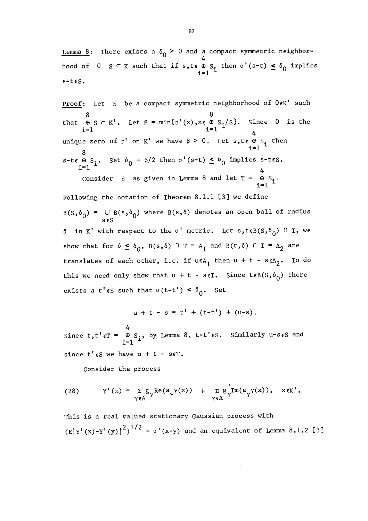<u>Lemma 8</u>: There exists a  $\delta_0 > 0$  and a compact symmetric neighborhood of  $0 \leq K$  such that if  $s, t \in \bigoplus_{i=1}^{\infty} S_i$  then  $\sigma'(s-t) \leq \delta_0$  implies  $s-t \epsilon S$ .

s-ces.<br><u>Proof</u>: Let<br>。  $\texttt{proof:} \quad \texttt{Let} \quad \texttt{S} \quad \texttt{be a compact symmetric neighborhood of} \ \ \texttt{0-}\epsilon \texttt{K'} \quad \texttt{such}$ that  $\oplus$  S  $\subset$  K'. Let  $\upbeta$  = min{ $\sigma'$ (x),x $\epsilon$   $\oplus$  S<sub>1</sub>/S}. Since  $\ 0\ \$  is the  $i=1$  i=1  $i=1$ 4 unique zero of  $\sigma'$  on K' we have  $\beta > 0$ . Let  $s, t \in \bigoplus_{i=1}^s I$  then s-t  $\theta$  S<sub>i</sub>. Set  $\delta_0 = \frac{\beta}{2}$  then  $\sigma'(s-t) \leq \delta_0$  implies s-t s. Consider S as given in Lemma 8 and let  $T = \bigoplus_{i=1}^{4} S_i$ . Following the notation of Theorem 8.1.1 [3] we define  $B(S, \delta_0) = \bigcup_{S \in S} B(s, \delta_0)$  where  $B(s, \delta)$  denotes an open ball of radius  $\delta$  in K' with respect to the  $\sigma'$  metric. Let  $s, t \in B(S, \delta_0) \cap T$ , we show that for  $\delta \leq \delta_0$ ,  $B(s,\delta)$  n  $T = A_1$  and  $B(t,\delta)$  n  $T = A_2$  are translates of each other, i.e. if  $u \in A_1$  then  $u + t - s \in A_2$ . To do this we need only show that  $u + t - s \in T$ . Since  $t \in B(S, \delta_0)$  there exists a t' $(s$  such that  $\sigma(t-t') < \delta_0$ . Set

 $u + t - s = t' + (t-t') + (u-s).$ 

Since  $t, t' \epsilon T = \begin{array}{c} 4 \\ \oplus \\ 51 \end{array}$  by Lemma 8,  $t-t' \epsilon S$ . Similarly u-s $\epsilon S$  and since  $t'$   $\epsilon$ S we have  $u + t - s \epsilon$ T.

Consider the process

(28) 
$$
Y'(x) = \sum_{\gamma \in A} g_{\gamma} \text{Re}(a_{\gamma} \gamma(x)) + \sum_{\gamma \in A} g_{\gamma} \text{Im}(a_{\gamma} \gamma(x)), \quad x \in K'
$$

This is a real valued stationary Gaussian process with  $(E|Y'(x)-Y'(y)|^2)^{1/2} = \sigma'(x-y)$  and an equivalent of Lemma 8.1.2 [3]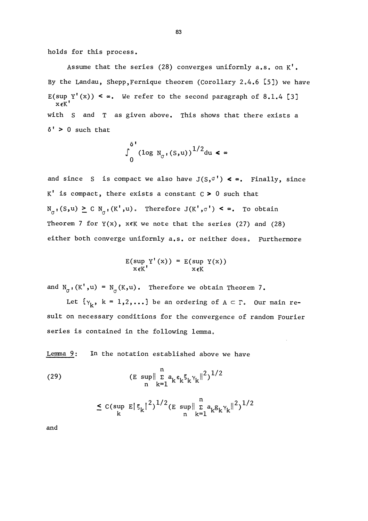holds for this process.

Assume that the series (28) converges uniformly a.s. on K'. By the Landau, Shepp, Fernique theorem (Corollary 2.4.6 [5]) we have  $E(sup Y'(x)) < \infty$ . We refer to the second paragraph of 8.1.4 [3]  $x \in K$ with S and T as given above. This shows that there exists a  $\delta'$  > 0 such that

$$
\int_{0}^{\delta} \left(\log N_{\sigma^1}(s, u)\right)^{1/2} du < \infty
$$

and since S is compact we also have  $J(S, \sigma') \leq \infty$ . Finally, since  $K'$  is compact, there exists a constant  $C > 0$  such that  $N_{\sigma}$ ,(S,u)  $\geq$  C  $N_{\sigma}$ ,(K',u). Therefore  $J(K',\sigma')$  <  $\infty$ . To obtain Theorem 7 for  $Y(x)$ ,  $x \in K$  we note that the series (27) and (28) either both converge uniformly a.s. or neither does. Furthermore

$$
E(\sup_{x \in K'} Y'(x)) = E(\sup_{x \in K} Y(x))
$$

and  $N_{\sigma}$ ,  $(K', u) = N_{\sigma}(K, u)$ . Therefore we obtain Theorem 7.

Let  $\{Y_k, k = 1, 2, \ldots\}$  be an ordering of  $A \subset \Gamma$ . Our main result on necessary conditions for the convergence of random Fourier series is contained in the following lemma.

Lemma 9: In the notation established above we have

(29) 
$$
\sum_{n=1}^{n} a_{k} \epsilon_{k} \xi_{k} \gamma_{k} \|^{2} \big)^{1/2}
$$

$$
\leq \, c (\sup_k \, \mathop{\mathbb{E}}\nolimits |\, \xi_k|^{\, 2})^{1/2} ( \mathop{\mathbb{E}}\nolimits \, \sup_n \! \| \, \mathop{\mathbb{E}}\nolimits \nolimits \nolimits_{k=1}^n \! \alpha_k g_k \gamma_k \|^2 )^{1/2}
$$

and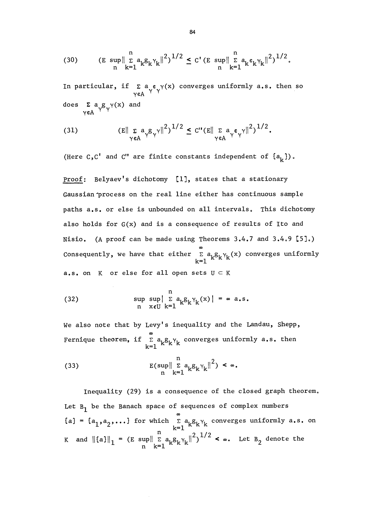(30) 
$$
\text{(E sup } \|\sum_{k=1}^{n} a_k g_k \gamma_k\|^2)^{1/2} \leq C' \text{(E sup } \|\sum_{k=1}^{n} a_k \varepsilon_k \gamma_k\|^2)^{1/2}.
$$

In particular, if  $\sum_{\gamma \in A} a_{\gamma} \epsilon_{\gamma}(\alpha)$  converges uniformly a.s. then so does  $\sum_{\gamma \in A} a_{\gamma} g_{\gamma}(\mathbf{x})$  and

(31) 
$$
(E\|\sum_{\gamma\in A}a_{\gamma}g_{\gamma}\gamma\|^2)^{1/2} \leq C''(E\|\sum_{\gamma\in A}a_{\gamma}\epsilon_{\gamma}\gamma\|^2)^{1/2}.
$$

(Here  $C, C'$  and  $C''$  are finite constants independent of  $\{a_{k}\}\right)$ .

Proof: Belyaev's dichotomy [1], states that a stationary Gaussian"process on the real line either has continuous sample paths a.s. or else is unbounded on all intervals. This dichotomy also holds for G(x) and is a consequence of results of Ito and Nisio. (A proof can be made using Theorems  $3.4.7$  and  $3.4.9$  [5].) Consequently, we have that either  $\sum_{k=1}^{\infty} a_k g_k \gamma_k(x)$  converges uniformly a.s. on  $K$  or else for all open sets  $U \subset K$ 

(32) 
$$
\sup_{n} \sup_{x \in U} \sup_{k=1}^{n} \mathbb{E} a_{k} g_{k} \gamma_{k}(x) = \infty \text{ a.s.}
$$

We also note that by Levy's inequality and the Landau, Shepp, Fernique theorem, if  $\sum\limits_{\mathclap{\text{--}}\,1}^{\infty}a_{\mathsf{k}}\mathsf{S}_{\mathsf{k}}\mathsf{Y}_{\mathsf{k}}$  converges uniformly  $\mathsf{a.s.}$  then

(33) 
$$
E(\sup_{h} \left\| \sum_{k=1}^{n} a_{k} g_{k} \gamma_{k} \right\|^{2}) < \infty.
$$

Inequality (29) is a consequence of the closed graph theorem. Let  $B_1$  be the Banach space of sequences of complex numbers m  $\{a^{\vphantom{\dagger}}_{1},a^{\vphantom{\dagger}}_{2},\ldots\}$  for which  $\sum\limits_{k=1}^{\infty}a^{\vphantom{\dagger}}_{k}\xi^{\vphantom{\dagger}}_{k}$  converges uniformly  $a$ .s. on K and  $\|\{a\}\|_1 = (E \sup\| E a_k g_k \gamma_k \|^2)^{1/2} < \infty$ . Let  $B_2$  denote the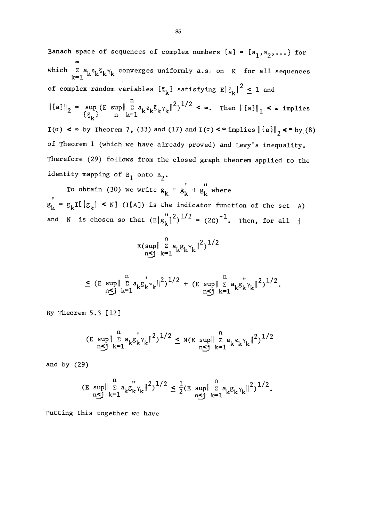Banach space of sequences of complex numbers  $\{a\} = \{a_1, a_2, \ldots\}$  for m which  $\Sigma$  a<sub>k</sub> $\varepsilon$ <sub>k</sub> $\S$ <sub>k</sub> $\gamma$ <sub>k</sub> converges uniformly a.s. on K for all sequences of complex random variables  $\{\xi_k\}$  satisfying  $E |\xi_k|^2 \leq 1$  and  $\left\|\left\{a\right\}\right\|_2 = \sup_{\left\{\xi_{\rm L}\right\}} \left(\mathbb{E}\sup_{\mathbf{k}=1} \left\|\frac{\mathbb{E}\left\|a\xi_{\rm R}\xi_{\rm R}\right\|^{2}}{\mathbb{E}\left\|a\xi_{\rm R}\right\|^{2}}\right)^{1/2} < \infty.$  Then  $\left\|\left\{a\right\}\right\|_1 < \infty$  implies I( $\sigma$ ) <  $\in$  by Theorem 7, (33) and (17) and I( $\sigma$ ) <  $\in$  implies  $\|\{a\}\|_2$  <  $\in$  by (8) of Theorem I (which we have already proved) and Levy's inequality. Therefore (29) follows from the closed graph theorem applied to the identity mapping of  $B_1$  onto  $B_2$ .

To obtain (30) we write  $g_k = g_k' + g_k''$  where  $g_k = g_k$ I[ $|g_k| < N$ ] (I[A]) is the indicator function of the set A) and N is chosen so that  $(E|g_k^{''}|^2)^{1/2} = (2C)^{-1}$ . Then, for all j

$$
\mathop{\mathbb{E}}_{n \leq j}(\sup_{k=1}^{n} \mathop{\mathbb{E}}_{k \in \mathbb{1}}^{a} a_{k} g_{k} \gamma_{k} \|^{2})^{1/2}
$$

$$
\leq (E \sup_{n \leq j} \|\sum_{k=1}^{n} a_k g_k^{\prime} \gamma_k\|^2)^{1/2} + (E \sup_{n \leq j} \|\sum_{k=1}^{n} a_k g_k^{\prime \prime} \gamma_k\|^2)^{1/2}.
$$

By Theorem 5.3 [12]

$$
(E \sup_{n \le j} \|\sum_{k=1}^{n} a_k g_k^{\prime} \chi_k\|^2)^{1/2} \le N(E \sup_{n \le j} \|\sum_{k=1}^{n} a_k \varepsilon_k^{\prime} \chi_k\|^2)^{1/2}
$$

and by (29)

$$
(\mathbf{E} \sup_{n \leq j} \|\sum_{k=1}^{n} a_k g_k^{\prime\prime} \gamma_k\|^2)^{1/2} \leq \frac{1}{2} (\mathbf{E} \sup_{n \leq j} \|\sum_{k=1}^{n} a_k g_k^{\prime\prime} \gamma_k\|^2)^{1/2}.
$$

putting this together we have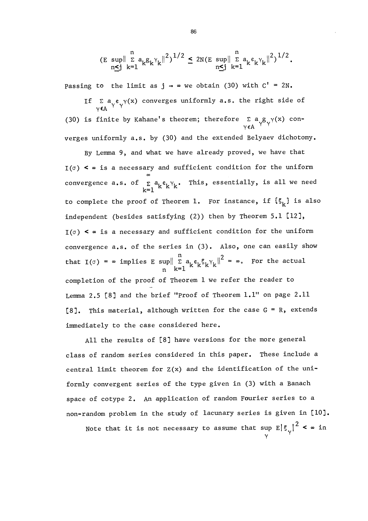$$
\left(\mathbf{E} \sup_{n \leq j} \|\sum_{k=1}^{n} a_k g_k \gamma_k\|^2\right)^{1/2} \leq 2N \left(\mathbf{E} \sup_{n \leq j} \|\sum_{k=1}^{n} a_k \varepsilon_k \gamma_k\|^2\right)^{1/2}.
$$

Passing to the limit as  $j \rightarrow \infty$  we obtain (30) with  $C' = 2N$ .

If  $\sum_{\gamma \in A} a_{\gamma} e_{\gamma}(\gamma)$  converges uniformly a.s. the right side of (30) is finite by Kahane's theorem; therefore  $\sum_{v \in A} a_{\gamma} g_{\gamma} (x)$  converges uniformly a,s, by (30) and the extended Belyaev dichotomy.

By Lemma 9, and what we have already proved, we have that  $I(\sigma)$  <  $\in$  is a necessary and sufficient condition for the uniform convergence a.s. of  ${}_{\mathsf{K}}\circ {\mathsf{a}}_{\mathsf{k}}\circ_{\mathsf{k}}\circ_{\mathsf{k}}\circ \mathsf{This}$ , essentially, is all we need to complete the proof of Theorem 1. For instance, if  $\{S_k\}$  is also independent (besides satisfying (2)) then by Theorem 5.1 [12],  $I(\sigma)$  <  $\infty$  is a necessary and sufficient condition for the uniform convergence a,s, of the series in (3). Also, one can easily show that I( $\sigma$ ) =  $\infty$  implies E sup $\left\| \begin{array}{cc} n \\ \sum a_k \varepsilon_k \zeta_k \gamma_k \end{array} \right\|^2 = \infty$ . For the actual  $n$ completion of the proof of Theorem 1 we refer the reader to Lemma 2.5 [8] and the brief "Proof of Theorem 1.1" on page 2.11 [8]. This material, although written for the case  $G = R$ , extends immediately to the case considered here.

All the results of [8] have versions for the more general class of random series considered in this paper. These include a central limit theorem for  $Z(x)$  and the identification of the uniformly convergent series of the type given in (3) with a Banach space of cotype 2. An application of random Fourier series to a non-random problem in the study of lacunary series is given in [10].

Note that it is not necessary to assume that sup  $\left. \mathbb{E}\right\vert \xi_{\sqrt{}} \right\vert^{2}$  <  $\in$  in  $\gamma$   $\gamma$ 

86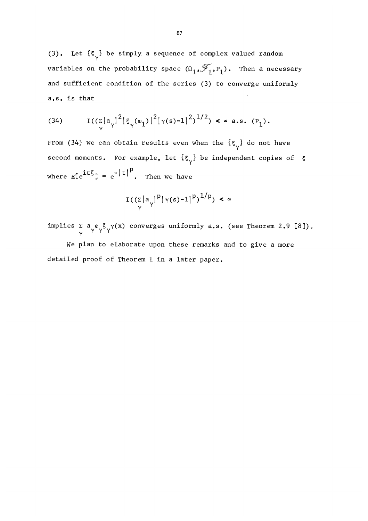(3). Let  $\{\xi_{\sqrt{\}}\}$  be simply a sequence of complex valued random variables on the probability space  $(\Omega_1, \mathcal{T}_1, P_1)$ . Then a necessary and sufficient condition of the series (3) to converge uniformly a.s. is that

(34) 
$$
I((\sum_{\gamma} |a_{\gamma}|^2 | \xi_{\gamma}(\omega_1)|^2 | \gamma(s)-1|^2)^{1/2}) \le \infty \text{ a.s. } (P_1).
$$

From (34) we can obtain results even when the  $\{\xi_{\gamma}\}\$  do not have second moments. For example, let  $\{\xi_{\gamma}\}\$  be independent copies of  $\xi$ where  $E[e^{it\xi}] = e^{-|t|^p}$ . Then we have

$$
\mathcal{I}(\left(\sum_{\gamma} |a_{\gamma}|^p |\gamma(s) - 1|^p\right)^{1/p}) < \infty
$$

implies  $\Sigma$  a  $\epsilon$   $\zeta$   $\gamma$  (x) converges uniformly a.s. (see Theorem 2.9 [8]).

ve plan to elaborate upon these remarks and to give a more detailed proof of Theorem I in a later paper.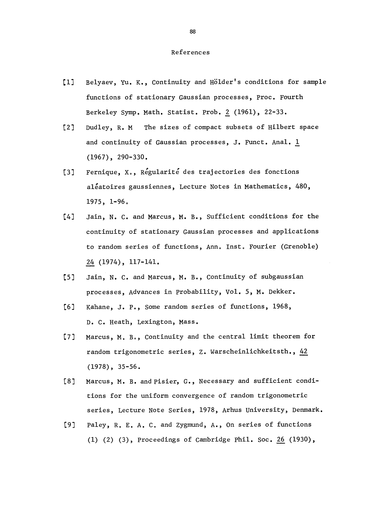## References

- [1] Belyaev, Yu. K., Continuity and Hölder's conditions for sample functions of stationary Gaussian processes, Proc. Fourth Berkeley Symp. Math. Statist. Prob. 2 (1961), 22-33.
- [2] Dudley, R. M The sizes of compact subsets of Hilbert space and continuity of Gaussian processes, J. Funct. Anal. 1 (1967), 290-330.
- [3] Fernique, X., Régularité des trajectories des fonctions aléatoires gaussiennes, Lecture Notes in Mathematics, 480, 1975, 1-96.
- [4] Jain, N. C. and Marcus, M. B., Sufficient conditions for the continuity of stationary Gaussian processes and applications to random series of functions, Ann. Inst. Fourier (Grenoble) 24 (1974), 117-141.
- [5] Jain, N. C. and Marcus, M. B., Continuity of subgaussian processes, Advances in Probability, Vol. 5, M. Dekker.
- [6] Kahane, J. P., Some random series of functions, 1968, D. C. Heath, Lexington, Mass.
- [7] Marcus, M. B., Continuity and the central limit theorem for random trigonometric series, Z. Warscheinlichkeitsth., 42 (1978), 35-56.
- [8] Marcus, M. B. and pisier, G., Necessary and sufficient conditions for the uniform convergence of random trigonometric series, Lecture Note Series, 1978, Arhus University, Denmark.
- [9] Paley, R. E. A. C. and Zygmund, A., On series of functions (1) (2) (3), Proceedings of Cambridge Phil. Soc. 26 (1930),